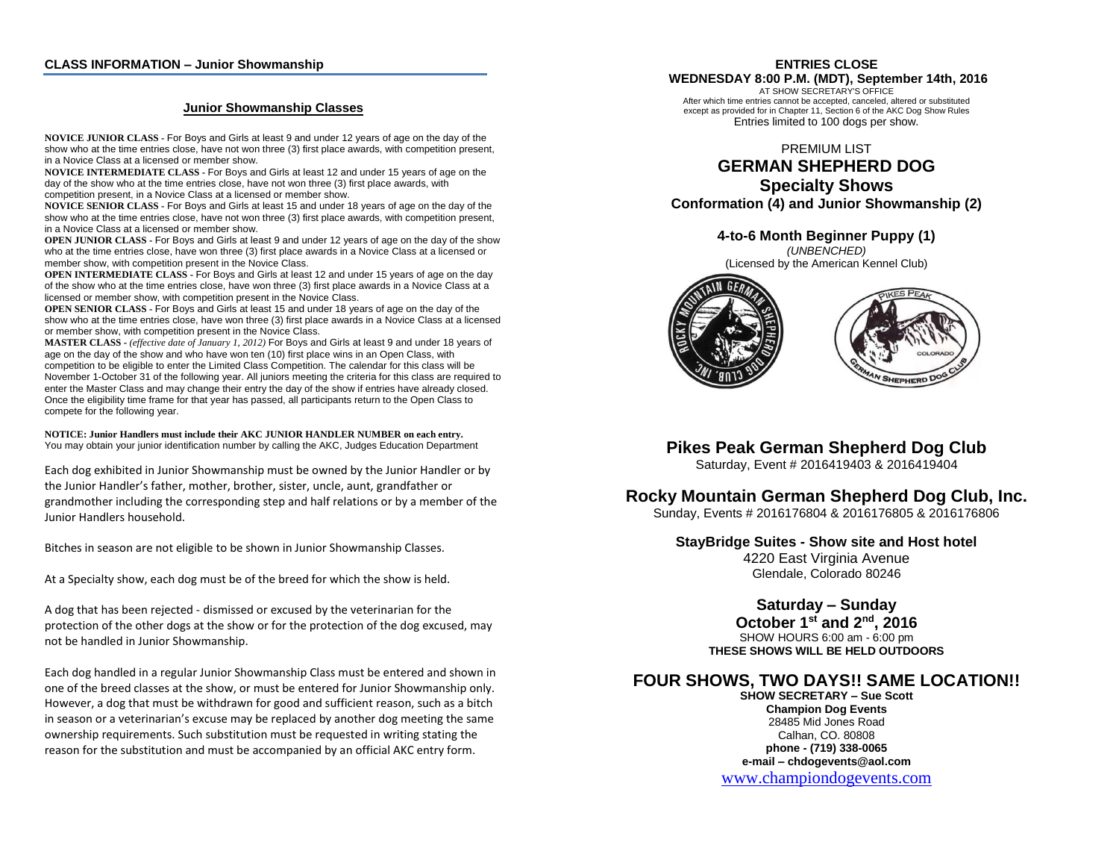#### **Junior Showmanship Classes**

**NOVICE JUNIOR CLASS -** For Boys and Girls at least 9 and under 12 years of age on the day of the show who at the time entries close, have not won three (3) first place awards, with competition present, in a Novice Class at a licensed or member show.

**NOVICE INTERMEDIATE CLASS -** For Boys and Girls at least 12 and under 15 years of age on the day of the show who at the time entries close, have not won three (3) first place awards, with competition present, in a Novice Class at a licensed or member show.

**NOVICE SENIOR CLASS -** For Boys and Girls at least 15 and under 18 years of age on the day of the show who at the time entries close, have not won three (3) first place awards, with competition present, in a Novice Class at a licensed or member show.

**OPEN JUNIOR CLASS -** For Boys and Girls at least 9 and under 12 years of age on the day of the show who at the time entries close, have won three (3) first place awards in a Novice Class at a licensed or member show, with competition present in the Novice Class.

**OPEN INTERMEDIATE CLASS -** For Boys and Girls at least 12 and under 15 years of age on the day of the show who at the time entries close, have won three (3) first place awards in a Novice Class at a licensed or member show, with competition present in the Novice Class.

**OPEN SENIOR CLASS -** For Boys and Girls at least 15 and under 18 years of age on the day of the show who at the time entries close, have won three (3) first place awards in a Novice Class at a licensed or member show, with competition present in the Novice Class.

**MASTER CLASS -** *(effective date of January 1, 2012)* For Boys and Girls at least 9 and under 18 years of age on the day of the show and who have won ten (10) first place wins in an Open Class, with competition to be eligible to enter the Limited Class Competition. The calendar for this class will be November 1-October 31 of the following year. All juniors meeting the criteria for this class are required to enter the Master Class and may change their entry the day of the show if entries have already closed. Once the eligibility time frame for that year has passed, all participants return to the Open Class to compete for the following year.

**NOTICE: Junior Handlers must include their AKC JUNIOR HANDLER NUMBER on each entry.** You may obtain your junior identification number by calling the AKC, Judges Education Department

Each dog exhibited in Junior Showmanship must be owned by the Junior Handler or by the Junior Handler's father, mother, brother, sister, uncle, aunt, grandfather or grandmother including the corresponding step and half relations or by a member of the Junior Handlers household.

Bitches in season are not eligible to be shown in Junior Showmanship Classes.

At a Specialty show, each dog must be of the breed for which the show is held.

A dog that has been rejected - dismissed or excused by the veterinarian for the protection of the other dogs at the show or for the protection of the dog excused, may not be handled in Junior Showmanship.

Each dog handled in a regular Junior Showmanship Class must be entered and shown in one of the breed classes at the show, or must be entered for Junior Showmanship only. However, a dog that must be withdrawn for good and sufficient reason, such as a bitch in season or a veterinarian's excuse may be replaced by another dog meeting the same ownership requirements. Such substitution must be requested in writing stating the reason for the substitution and must be accompanied by an official AKC entry form.

## **ENTRIES CLOSE**

**WEDNESDAY 8:00 P.M. (MDT), September 14th, 2016** AT SHOW SECRETARY'S OFFICE After which time entries cannot be accepted, canceled, altered or substituted

except as provided for in Chapter 11, Section 6 of the AKC Dog Show Rules Entries limited to 100 dogs per show.

PREMIUM LIST

# **GERMAN SHEPHERD DOG**

**Specialty Shows** 

**Conformation (4) and Junior Showmanship (2)**

**4-to-6 Month Beginner Puppy (1)**

*(UNBENCHED)* (Licensed by the American Kennel Club)





**Pikes Peak German Shepherd Dog Club** Saturday, Event # 2016419403 & 2016419404

# **Rocky Mountain German Shepherd Dog Club, Inc.**

Sunday, Events # 2016176804 & 2016176805 & 2016176806

**StayBridge Suites - Show site and Host hotel**

4220 East Virginia Avenue Glendale, Colorado 80246

## **Saturday – Sunday**

**October 1 st and 2nd, 2016**

SHOW HOURS 6:00 am - 6:00 pm **THESE SHOWS WILL BE HELD OUTDOORS**

# **FOUR SHOWS, TWO DAYS!! SAME LOCATION!!**

**SHOW SECRETARY – Sue Scott Champion Dog Events** 28485 Mid Jones Road Calhan, CO. 80808 **phone - (719) 338-0065 e-mail – chdogevents@aol.com**

[www.championdogevents.com](http://www.championdogevents.com/)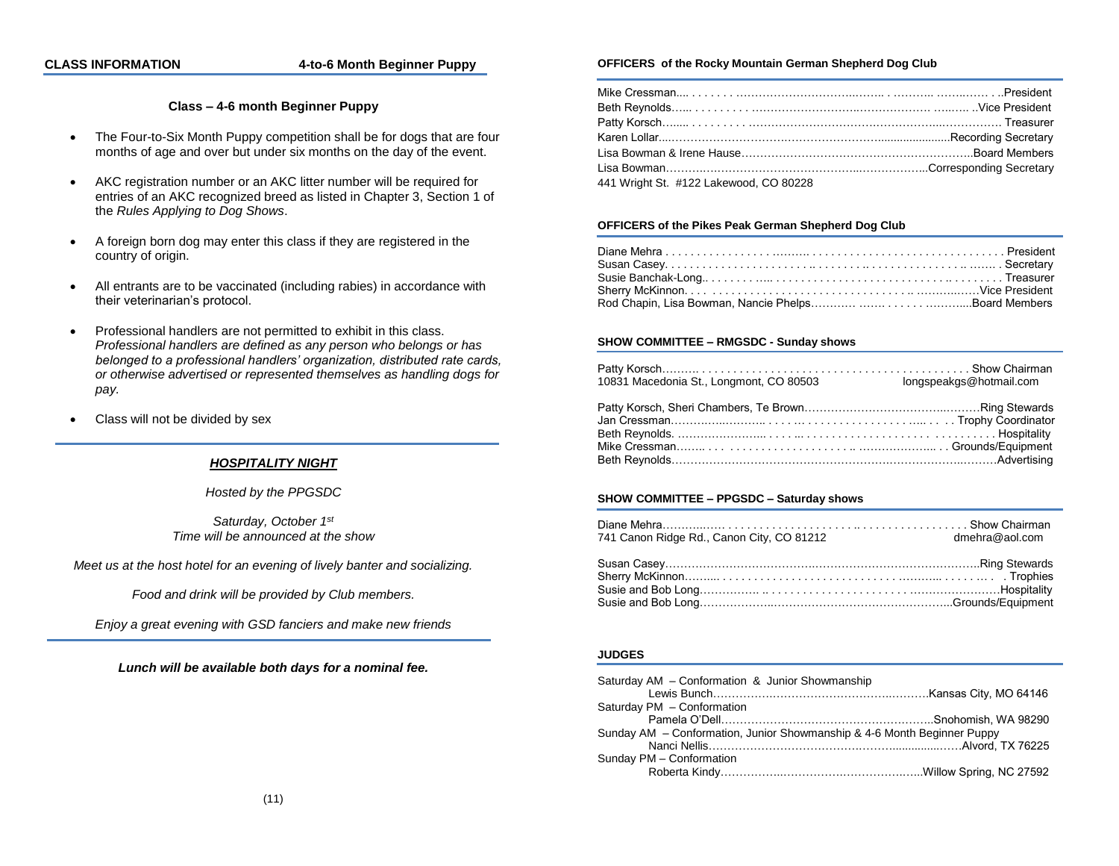#### **CLASS INFORMATION 4-to-6 Month Beginner Puppy**

#### **Class – 4-6 month Beginner Puppy**

- The Four-to-Six Month Puppy competition shall be for dogs that are four months of age and over but under six months on the day of the event.
- AKC registration number or an AKC litter number will be required for entries of an AKC recognized breed as listed in Chapter 3, Section 1 of the *Rules Applying to Dog Shows*.
- A foreign born dog may enter this class if they are registered in the country of origin.
- All entrants are to be vaccinated (including rabies) in accordance with their veterinarian's protocol.
- Professional handlers are not permitted to exhibit in this class. *Professional handlers are defined as any person who belongs or has belonged to a professional handlers' organization, distributed rate cards, or otherwise advertised or represented themselves as handling dogs for pay.*
- Class will not be divided by sex

#### *HOSPITALITY NIGHT*

*Hosted by the PPGSDC*

*Saturday, October 1 st Time will be announced at the show*

*Meet us at the host hotel for an evening of lively banter and socializing.*

*Food and drink will be provided by Club members.*

*Enjoy a great evening with GSD fanciers and make new friends*

#### *Lunch will be available both days for a nominal fee.*

#### **OFFICERS of the Rocky Mountain German Shepherd Dog Club**

| Lisa Bowman & Irene Hause…………………………………………………………Board Members |  |
|--------------------------------------------------------------|--|
|                                                              |  |
| 441 Wright St. #122 Lakewood, CO 80228                       |  |

#### **OFFICERS of the Pikes Peak German Shepherd Dog Club**

#### **SHOW COMMITTEE – RMGSDC - Sunday shows**

| 10831 Macedonia St., Longmont, CO 80503 | longspeakgs@hotmail.com |
|-----------------------------------------|-------------------------|
|                                         |                         |

#### **SHOW COMMITTEE – PPGSDC – Saturday shows**

| 741 Canon Ridge Rd., Canon City, CO 81212 | dmehra@aol.com |
|-------------------------------------------|----------------|
|                                           |                |
|                                           |                |
|                                           |                |
|                                           |                |

#### **JUDGES**

| Saturday AM - Conformation & Junior Showmanship                         |  |
|-------------------------------------------------------------------------|--|
|                                                                         |  |
| Saturday PM - Conformation                                              |  |
|                                                                         |  |
| Sunday AM - Conformation, Junior Showmanship & 4-6 Month Beginner Puppy |  |
|                                                                         |  |
| Sunday PM - Conformation                                                |  |
|                                                                         |  |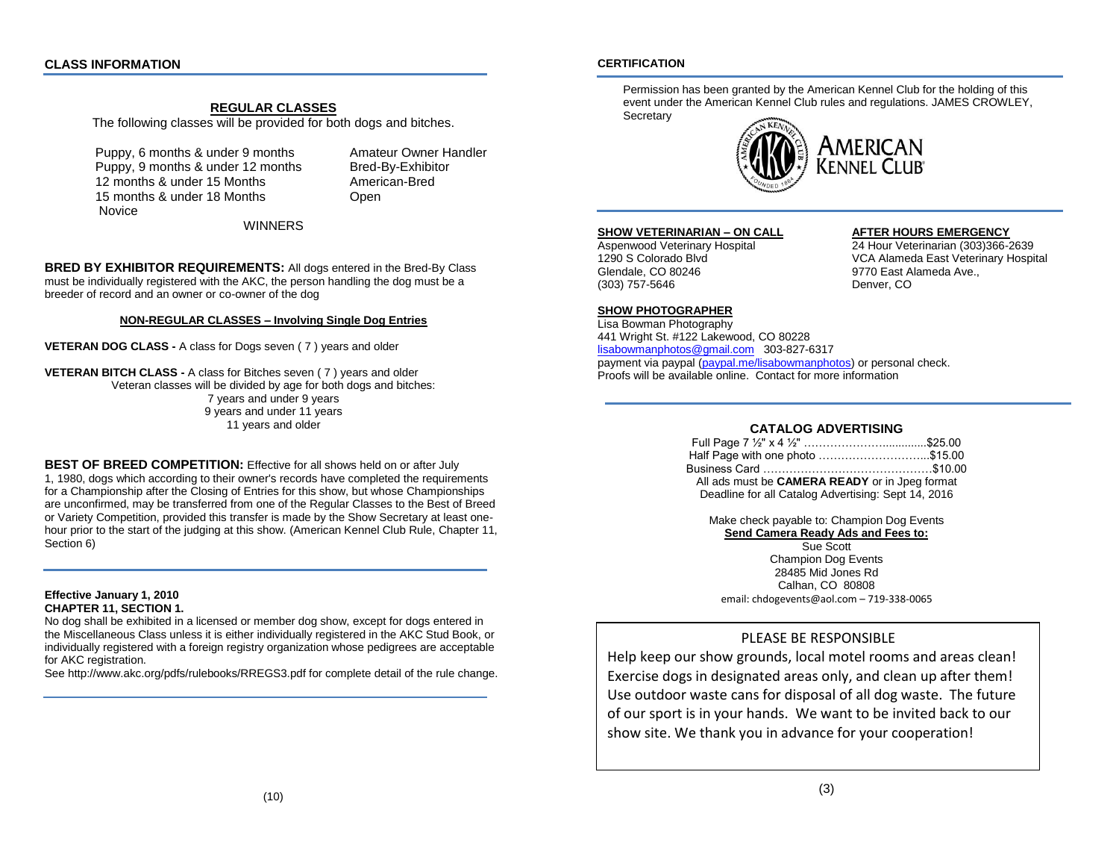## **REGULAR CLASSES**

The following classes will be provided for both dogs and bitches.

Puppy, 6 months & under 9 months Amateur Owner Handler Puppy, 9 months & under 12 months Bred-By-Exhibitor 12 months & under 15 Months American-Bred 15 months & under 18 Months Open Novice

WINNERS

**BRED BY EXHIBITOR REQUIREMENTS:** All dogs entered in the Bred-By Class must be individually registered with the AKC, the person handling the dog must be a breeder of record and an owner or co-owner of the dog

#### **NON-REGULAR CLASSES – Involving Single Dog Entries**

**VETERAN DOG CLASS -** A class for Dogs seven ( 7 ) years and older

**VETERAN BITCH CLASS -** A class for Bitches seven ( 7 ) years and older Veteran classes will be divided by age for both dogs and bitches: 7 years and under 9 years 9 years and under 11 years 11 years and older

**BEST OF BREED COMPETITION:** Effective for all shows held on or after July 1, 1980, dogs which according to their owner's records have completed the requirements for a Championship after the Closing of Entries for this show, but whose Championships are unconfirmed, may be transferred from one of the Regular Classes to the Best of Breed or Variety Competition, provided this transfer is made by the Show Secretary at least onehour prior to the start of the judging at this show. (American Kennel Club Rule, Chapter 11, Section 6)

#### **Effective January 1, 2010 CHAPTER 11, SECTION 1.**

No dog shall be exhibited in a licensed or member dog show, except for dogs entered in the Miscellaneous Class unless it is either individually registered in the AKC Stud Book, or individually registered with a foreign registry organization whose pedigrees are acceptable for AKC registration.

See http://www.akc.org/pdfs/rulebooks/RREGS3.pdf for complete detail of the rule change.

#### **CERTIFICATION**

Permission has been granted by the American Kennel Club for the holding of this event under the American Kennel Club rules and regulations. JAMES CROWLEY, **Secretary** 



#### **SHOW VETERINARIAN – ON CALL AFTER HOURS EMERGENCY**

Aspenwood Veterinary Hospital 24 Hour Veterinarian (303)366-2639 1290 S Colorado Blvd VCA Alameda East Veterinary Hospital Glendale, CO 80246 9770 East Alameda Ave., 9770 East Alameda Ave., 9770 East Alameda Ave., 978  $(303)$  757-5646

#### **SHOW PHOTOGRAPHER**

Lisa Bowman Photography 441 Wright St. #122 Lakewood, CO 80228 [lisabowmanphotos@gmail.com](mailto:lisabowmanphotos@gmail.com) 303-827-6317 payment via paypal [\(paypal.me/lisabowmanphotos\)](http://paypal.me/lisabowmanphotos) or personal check. Proofs will be available online. Contact for more information

#### **CATALOG ADVERTISING**

| Half Page with one photo \$15.00                      |  |
|-------------------------------------------------------|--|
|                                                       |  |
| All ads must be <b>CAMERA READY</b> or in Jpeg format |  |
| Deadline for all Catalog Advertising: Sept 14, 2016   |  |

Make check payable to: Champion Dog Events **Send Camera Ready Ads and Fees to:**

Sue Scott Champion Dog Events 28485 Mid Jones Rd Calhan, CO 80808 email: chdogevents@aol.com – 719-338-0065

## PLEASE BE RESPONSIBLE

Help keep our show grounds, local motel rooms and areas clean! Exercise dogs in designated areas only, and clean up after them! Use outdoor waste cans for disposal of all dog waste. The future of our sport is in your hands. We want to be invited back to our show site. We thank you in advance for your cooperation!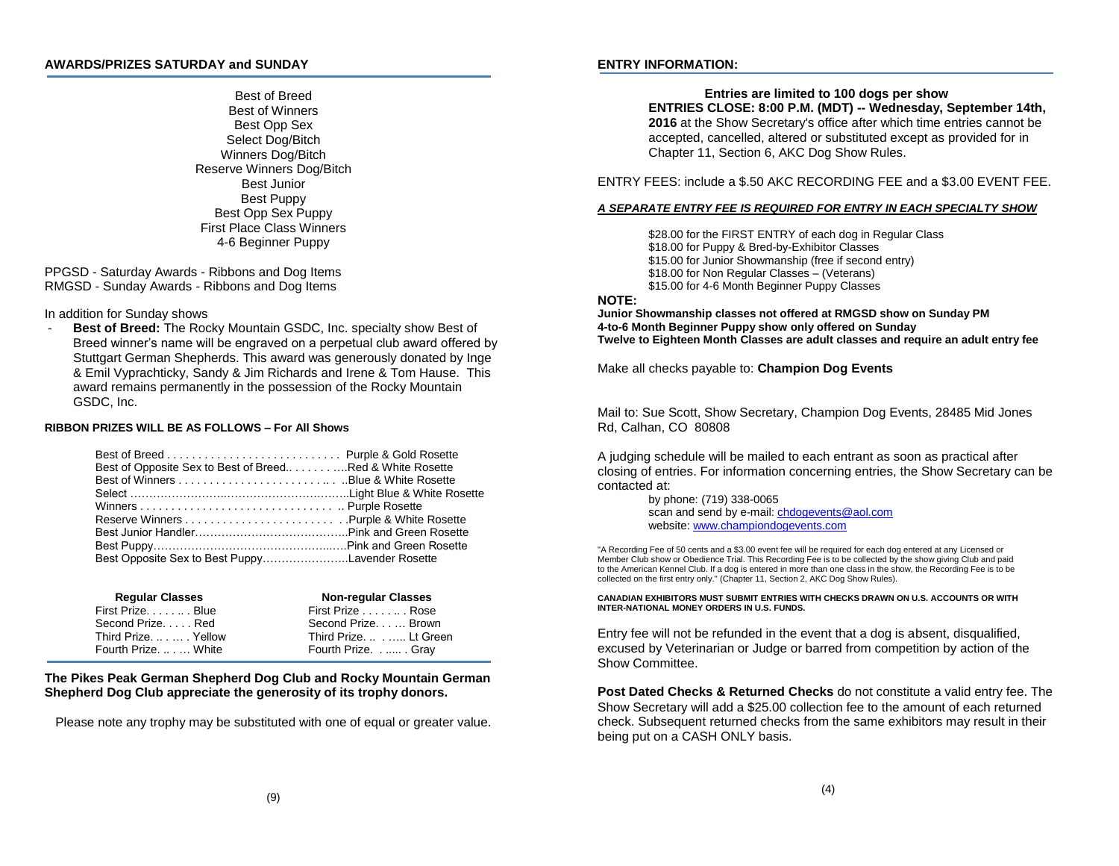Best of Breed Best of Winners Best Opp Sex Select Dog/Bitch Winners Dog/Bitch Reserve Winners Dog/Bitch Best Junior Best Puppy Best Opp Sex Puppy First Place Class Winners 4-6 Beginner Puppy

PPGSD - Saturday Awards - Ribbons and Dog Items RMGSD - Sunday Awards - Ribbons and Dog Items

In addition for Sunday shows

- **Best of Breed:** The Rocky Mountain GSDC, Inc. specialty show Best of Breed winner's name will be engraved on a perpetual club award offered by Stuttgart German Shepherds. This award was generously donated by Inge & Emil Vyprachticky, Sandy & Jim Richards and Irene & Tom Hause. This award remains permanently in the possession of the Rocky Mountain GSDC, Inc.

#### **RIBBON PRIZES WILL BE AS FOLLOWS – For All Shows**

| Best of Opposite Sex to Best of BreedRed & White Rosette |  |
|----------------------------------------------------------|--|
|                                                          |  |
|                                                          |  |
|                                                          |  |
|                                                          |  |
|                                                          |  |
|                                                          |  |
| Best Opposite Sex to Best PuppyLavender Rosette          |  |

| <b>Regular Classes</b> | <b>Non-regular Classes</b> |
|------------------------|----------------------------|
| First PrizeBlue        | First Prize Rose           |
| Second Prize Red       | Second Prize Brown         |
| Third PrizeYellow      | Third Prize.  Lt Green     |
| Fourth Prize.  White   | Fourth Prize Gray          |

#### **The Pikes Peak German Shepherd Dog Club and Rocky Mountain German Shepherd Dog Club appreciate the generosity of its trophy donors.**

Please note any trophy may be substituted with one of equal or greater value.

#### **ENTRY INFORMATION:**

## **Entries are limited to 100 dogs per show**

**ENTRIES CLOSE: 8:00 P.M. (MDT) -- Wednesday, September 14th, 2016** at the Show Secretary's office after which time entries cannot be accepted, cancelled, altered or substituted except as provided for in Chapter 11, Section 6, AKC Dog Show Rules.

#### ENTRY FEES: include a \$.50 AKC RECORDING FEE and a \$3.00 EVENT FEE.

#### *A SEPARATE ENTRY FEE IS REQUIRED FOR ENTRY IN EACH SPECIALTY SHOW*

\$28.00 for the FIRST ENTRY of each dog in Regular Class \$18.00 for Puppy & Bred-by-Exhibitor Classes \$15.00 for Junior Showmanship (free if second entry) \$18.00 for Non Regular Classes – (Veterans) \$15.00 for 4-6 Month Beginner Puppy Classes

#### **NOTE:**

**Junior Showmanship classes not offered at RMGSD show on Sunday PM 4-to-6 Month Beginner Puppy show only offered on Sunday Twelve to Eighteen Month Classes are adult classes and require an adult entry fee**

Make all checks payable to: **Champion Dog Events**

Mail to: Sue Scott, Show Secretary, Champion Dog Events, 28485 Mid Jones Rd, Calhan, CO 80808

A judging schedule will be mailed to each entrant as soon as practical after closing of entries. For information concerning entries, the Show Secretary can be contacted at:

> by phone: (719) 338-0065 scan and send by e-mail[: chdogevents@aol.com](mailto:chdogevents@aol.com) website[: www.championdogevents.com](http://www.championdogevents.com/)

"A Recording Fee of 50 cents and a \$3.00 event fee will be required for each dog entered at any Licensed or Member Club show or Obedience Trial. This Recording Fee is to be collected by the show giving Club and paid to the American Kennel Club. If a dog is entered in more than one class in the show, the Recording Fee is to be collected on the first entry only." (Chapter 11, Section 2, AKC Dog Show Rules).

**CANADIAN EXHIBITORS MUST SUBMIT ENTRIES WITH CHECKS DRAWN ON U.S. ACCOUNTS OR WITH INTER-NATIONAL MONEY ORDERS IN U.S. FUNDS.**

Entry fee will not be refunded in the event that a dog is absent, disqualified, excused by Veterinarian or Judge or barred from competition by action of the Show Committee.

**Post Dated Checks & Returned Checks** do not constitute a valid entry fee. The Show Secretary will add a \$25.00 collection fee to the amount of each returned check. Subsequent returned checks from the same exhibitors may result in their being put on a CASH ONLY basis.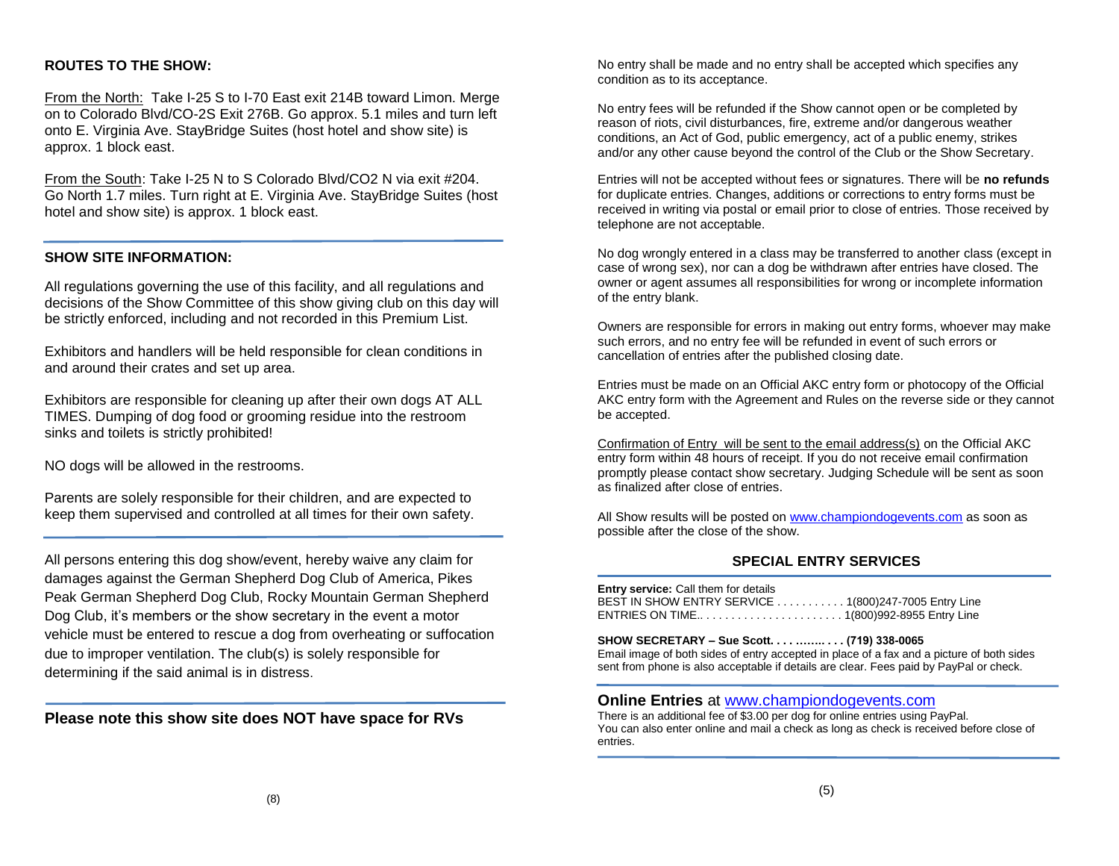# **ROUTES TO THE SHOW:**

From the North: Take I-25 S to I-70 East exit 214B toward Limon. Merge on to Colorado Blvd/CO-2S Exit 276B. Go approx. 5.1 miles and turn left onto E. Virginia Ave. StayBridge Suites (host hotel and show site) is approx. 1 block east.

From the South: Take I-25 N to S Colorado Blvd/CO2 N via exit #204. Go North 1.7 miles. Turn right at E. Virginia Ave. StayBridge Suites (host hotel and show site) is approx. 1 block east.

## **SHOW SITE INFORMATION:**

All regulations governing the use of this facility, and all regulations and decisions of the Show Committee of this show giving club on this day will be strictly enforced, including and not recorded in this Premium List.

Exhibitors and handlers will be held responsible for clean conditions in and around their crates and set up area.

Exhibitors are responsible for cleaning up after their own dogs AT ALL TIMES. Dumping of dog food or grooming residue into the restroom sinks and toilets is strictly prohibited!

NO dogs will be allowed in the restrooms.

Parents are solely responsible for their children, and are expected to keep them supervised and controlled at all times for their own safety.

All persons entering this dog show/event, hereby waive any claim for damages against the German Shepherd Dog Club of America, Pikes Peak German Shepherd Dog Club, Rocky Mountain German Shepherd Dog Club, it's members or the show secretary in the event a motor vehicle must be entered to rescue a dog from overheating or suffocation due to improper ventilation. The club(s) is solely responsible for determining if the said animal is in distress.

# **Please note this show site does NOT have space for RVs**

No entry shall be made and no entry shall be accepted which specifies any condition as to its acceptance.

No entry fees will be refunded if the Show cannot open or be completed by reason of riots, civil disturbances, fire, extreme and/or dangerous weather conditions, an Act of God, public emergency, act of a public enemy, strikes and/or any other cause beyond the control of the Club or the Show Secretary.

Entries will not be accepted without fees or signatures. There will be **no refunds**  for duplicate entries. Changes, additions or corrections to entry forms must be received in writing via postal or email prior to close of entries. Those received by telephone are not acceptable.

No dog wrongly entered in a class may be transferred to another class (except in case of wrong sex), nor can a dog be withdrawn after entries have closed. The owner or agent assumes all responsibilities for wrong or incomplete information of the entry blank.

Owners are responsible for errors in making out entry forms, whoever may make such errors, and no entry fee will be refunded in event of such errors or cancellation of entries after the published closing date.

Entries must be made on an Official AKC entry form or photocopy of the Official AKC entry form with the Agreement and Rules on the reverse side or they cannot be accepted.

Confirmation of Entry will be sent to the email address(s) on the Official AKC entry form within 48 hours of receipt. If you do not receive email confirmation promptly please contact show secretary. Judging Schedule will be sent as soon as finalized after close of entries.

All Show results will be posted on [www.championdogevents.com](http://www.championdogevents.com/) as soon as possible after the close of the show.

# **SPECIAL ENTRY SERVICES**

**Entry service:** Call them for details BEST IN SHOW ENTRY SERVICE . . . . . . . . . . . 1(800)247-7005 Entry Line ENTRIES ON TIME.. . . . . . . . . . . . . . . . . . . . . . . 1(800)992-8955 Entry Line

**SHOW SECRETARY – Sue Scott. . . . …….. . . . (719) 338-0065** Email image of both sides of entry accepted in place of a fax and a picture of both sides sent from phone is also acceptable if details are clear. Fees paid by PayPal or check.

## **Online Entries** at [www.championdogevents.com](http://www.championdogevents.com/)

There is an additional fee of \$3.00 per dog for online entries using PayPal. You can also enter online and mail a check as long as check is received before close of entries.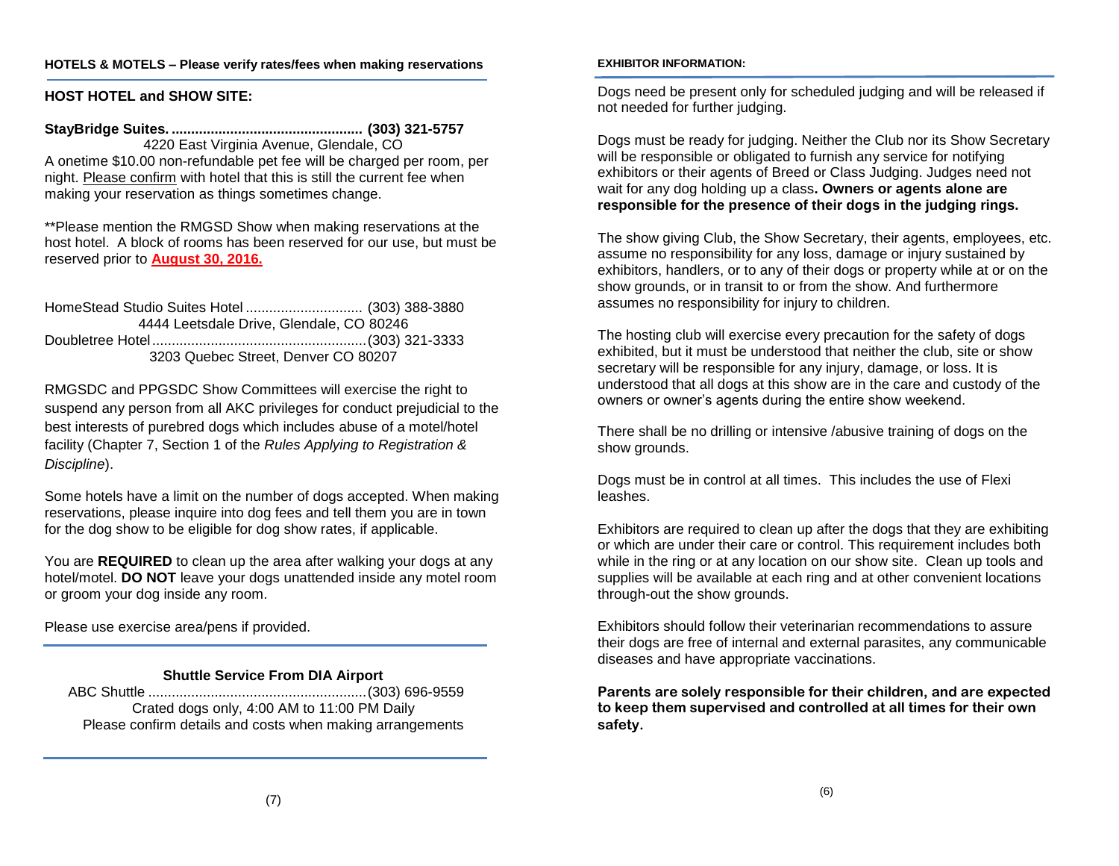# **HOST HOTEL and SHOW SITE:**

**StayBridge Suites. ................................................. (303) 321-5757** 4220 East Virginia Avenue, Glendale, CO A onetime \$10.00 non-refundable pet fee will be charged per room, per night. Please confirm with hotel that this is still the current fee when making your reservation as things sometimes change.

\*\*Please mention the RMGSD Show when making reservations at the host hotel. A block of rooms has been reserved for our use, but must be reserved prior to **August 30, 2016.**

HomeStead Studio Suites Hotel .............................. (303) 388-3880 4444 Leetsdale Drive, Glendale, CO 80246 Doubletree Hotel.......................................................(303) 321-3333 3203 Quebec Street, Denver CO 80207

RMGSDC and PPGSDC Show Committees will exercise the right to suspend any person from all AKC privileges for conduct prejudicial to the best interests of purebred dogs which includes abuse of a motel/hotel facility (Chapter 7, Section 1 of the *Rules Applying to Registration & Discipline*).

Some hotels have a limit on the number of dogs accepted. When making reservations, please inquire into dog fees and tell them you are in town for the dog show to be eligible for dog show rates, if applicable.

You are **REQUIRED** to clean up the area after walking your dogs at any hotel/motel. **DO NOT** leave your dogs unattended inside any motel room or groom your dog inside any room.

Please use exercise area/pens if provided.

# **Shuttle Service From DIA Airport**

 ABC Shuttle ........................................................(303) 696-9559 Crated dogs only, 4:00 AM to 11:00 PM Daily Please confirm details and costs when making arrangements

## **EXHIBITOR INFORMATION:**

Dogs need be present only for scheduled judging and will be released if not needed for further judging.

Dogs must be ready for judging. Neither the Club nor its Show Secretary will be responsible or obligated to furnish any service for notifying exhibitors or their agents of Breed or Class Judging. Judges need not wait for any dog holding up a class**. Owners or agents alone are responsible for the presence of their dogs in the judging rings.**

The show giving Club, the Show Secretary, their agents, employees, etc. assume no responsibility for any loss, damage or injury sustained by exhibitors, handlers, or to any of their dogs or property while at or on the show grounds, or in transit to or from the show. And furthermore assumes no responsibility for injury to children.

The hosting club will exercise every precaution for the safety of dogs exhibited, but it must be understood that neither the club, site or show secretary will be responsible for any injury, damage, or loss. It is understood that all dogs at this show are in the care and custody of the owners or owner's agents during the entire show weekend.

There shall be no drilling or intensive /abusive training of dogs on the show grounds.

Dogs must be in control at all times. This includes the use of Flexi leashes.

Exhibitors are required to clean up after the dogs that they are exhibiting or which are under their care or control. This requirement includes both while in the ring or at any location on our show site. Clean up tools and supplies will be available at each ring and at other convenient locations through-out the show grounds.

Exhibitors should follow their veterinarian recommendations to assure their dogs are free of internal and external parasites, any communicable diseases and have appropriate vaccinations.

**Parents are solely responsible for their children, and are expected to keep them supervised and controlled at all times for their own safety.**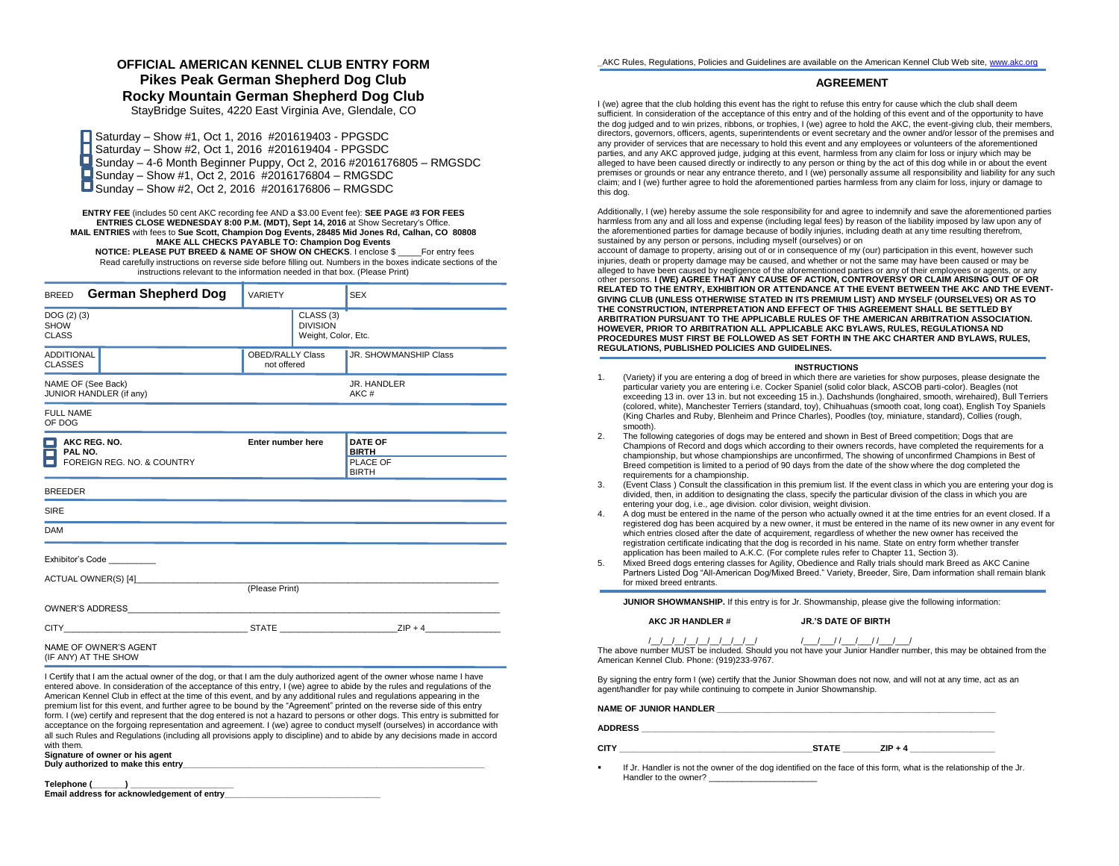#### **OFFICIAL AMERICAN KENNEL CLUB ENTRY FORM Pikes Peak German Shepherd Dog Club Rocky Mountain German Shepherd Dog Club**  StayBridge Suites, 4220 East Virginia Ave, Glendale, CO

Saturday – Show #1, Oct 1, 2016 #201619403 - PPGSDC Saturday – Show #2, Oct 1, 2016 #201619404 - PPGSDC п Sunday – 4-6 Month Beginner Puppy, Oct 2, 2016 #2016176805 – RMGSDC  $\blacksquare$  Sunday – Show #1, Oct 2, 2016 #2016176804 – RMGSDC  $\Box$  Sunday – Show #2, Oct 2, 2016 #2016176806 – RMGSDC

**ENTRY FEE** (includes 50 cent AKC recording fee AND a \$3.00 Event fee): **SEE PAGE #3 FOR FEES ENTRIES CLOSE WEDNESDAY 8:00 P.M. (MDT), Sept 14, 2016** at Show Secretary's Office. **MAIL ENTRIES** with fees to **Sue Scott, Champion Dog Events, 28485 Mid Jones Rd, Calhan, CO 80808 MAKE ALL CHECKS PAYABLE TO: Champion Dog Events NOTICE: PLEASE PUT BREED & NAME OF SHOW ON CHECKS**. I enclose \$ \_\_\_\_\_For entry fees

Read carefully instructions on reverse side before filling out. Numbers in the boxes indicate sections of the instructions relevant to the information needed in that box. (Please Print)

| <b>BREED</b>                               | <b>German Shepherd Dog</b>                    | <b>VARIETY</b>                         |                                                                | <b>SEX</b>                                                                                                                                                                                                                    |
|--------------------------------------------|-----------------------------------------------|----------------------------------------|----------------------------------------------------------------|-------------------------------------------------------------------------------------------------------------------------------------------------------------------------------------------------------------------------------|
| DOG (2) (3)<br><b>SHOW</b><br><b>CLASS</b> |                                               |                                        | CLASS <sub>(3)</sub><br><b>DIVISION</b><br>Weight, Color, Etc. |                                                                                                                                                                                                                               |
| <b>ADDITIONAL</b><br><b>CLASSES</b>        |                                               | <b>OBED/RALLY Class</b><br>not offered |                                                                | JR. SHOWMANSHIP Class                                                                                                                                                                                                         |
| NAME OF (See Back)                         | JUNIOR HANDLER (if any)                       |                                        |                                                                | JR. HANDLER<br>AKC#                                                                                                                                                                                                           |
| <b>FULL NAME</b><br>OF DOG                 |                                               |                                        |                                                                |                                                                                                                                                                                                                               |
| PAL NO.                                    | AKC REG. NO.<br>FOREIGN REG. NO. & COUNTRY    | Enter number here                      |                                                                | <b>DATE OF</b><br><b>BIRTH</b><br>PLACE OF<br><b>BIRTH</b>                                                                                                                                                                    |
| <b>BREEDER</b>                             |                                               |                                        |                                                                |                                                                                                                                                                                                                               |
| <b>SIRE</b>                                |                                               |                                        |                                                                |                                                                                                                                                                                                                               |
| <b>DAM</b>                                 |                                               |                                        |                                                                |                                                                                                                                                                                                                               |
|                                            | Exhibitor's Code                              |                                        |                                                                |                                                                                                                                                                                                                               |
|                                            |                                               | (Please Print)                         |                                                                |                                                                                                                                                                                                                               |
|                                            |                                               |                                        |                                                                |                                                                                                                                                                                                                               |
|                                            |                                               |                                        |                                                                | CITY STATE SINCE SERVICE STATE STATE SERVICES AND STATE SERVICES AND STATE SERVICES AND STATE SERVICES AND STATE SERVICES AND STATE STATE STATE STATE STATE STATE STATE STATE STATE STATE STATE STATE STATE STATE STATE STATE |
|                                            | NAME OF OWNER'S AGENT<br>(IF ANY) AT THE SHOW |                                        |                                                                |                                                                                                                                                                                                                               |

I Certify that I am the actual owner of the dog, or that I am the duly authorized agent of the owner whose name I have entered above. In consideration of the acceptance of this entry, I (we) agree to abide by the rules and regulations of the American Kennel Club in effect at the time of this event, and by any additional rules and regulations appearing in the premium list for this event, and further agree to be bound by the "Agreement" printed on the reverse side of this entry form. I (we) certify and represent that the dog entered is not a hazard to persons or other dogs. This entry is submitted for acceptance on the forgoing representation and agreement. I (we) agree to conduct myself (ourselves) in accordance with all such Rules and Regulations (including all provisions apply to discipline) and to abide by any decisions made in accord with them.

**Signature of owner or his agent** Duly authorized to make this entry

| Telephone (                                |  |
|--------------------------------------------|--|
| Email address for acknowledgement of entry |  |

**\_**AKC Rules, Regulations, Policies and Guidelines are available on the American Kennel Club Web site[, www.akc.org](http://www.akc.org/)

#### **AGREEMENT**

I (we) agree that the club holding this event has the right to refuse this entry for cause which the club shall deem sufficient. In consideration of the acceptance of this entry and of the holding of this event and of the opportunity to have the dog judged and to win prizes, ribbons, or trophies, I (we) agree to hold the AKC, the event-giving club, their members, directors, governors, officers, agents, superintendents or event secretary and the owner and/or lessor of the premises and any provider of services that are necessary to hold this event and any employees or volunteers of the aforementioned parties, and any AKC approved judge, judging at this event, harmless from any claim for loss or injury which may be alleged to have been caused directly or indirectly to any person or thing by the act of this dog while in or about the event premises or grounds or near any entrance thereto, and I (we) personally assume all responsibility and liability for any such claim; and I (we) further agree to hold the aforementioned parties harmless from any claim for loss, injury or damage to this dog.

Additionally, I (we) hereby assume the sole responsibility for and agree to indemnify and save the aforementioned parties harmless from any and all loss and expense (including legal fees) by reason of the liability imposed by law upon any of the aforementioned parties for damage because of bodily injuries, including death at any time resulting therefrom, sustained by any person or persons, including myself (ourselves) or on

account of damage to property, arising out of or in consequence of my (our) participation in this event, however such injuries, death or property damage may be caused, and whether or not the same may have been caused or may be alleged to have been caused by negligence of the aforementioned parties or any of their employees or agents, or any other persons. **I (WE) AGREE THAT ANY CAUSE OF ACTION, CONTROVERSY OR CLAIM ARISING OUT OF OR RELATED TO THE ENTRY, EXHIBITION OR ATTENDANCE AT THE EVENT BETWEEN THE AKC AND THE EVENT-GIVING CLUB (UNLESS OTHERWISE STATED IN ITS PREMIUM LIST) AND MYSELF (OURSELVES) OR AS TO THE CONSTRUCTION, INTERPRETATION AND EFFECT OF THIS AGREEMENT SHALL BE SETTLED BY ARBITRATION PURSUANT TO THE APPLICABLE RULES OF THE AMERICAN ARBITRATION ASSOCIATION. HOWEVER, PRIOR TO ARBITRATION ALL APPLICABLE AKC BYLAWS, RULES, REGULATIONSA ND PROCEDURES MUST FIRST BE FOLLOWED AS SET FORTH IN THE AKC CHARTER AND BYLAWS, RULES, REGULATIONS, PUBLISHED POLICIES AND GUIDELINES.**

#### **INSTRUCTIONS**

- 1. (Variety) if you are entering a dog of breed in which there are varieties for show purposes, please designate the particular variety you are entering i.e. Cocker Spaniel (solid color black, ASCOB parti-color). Beagles (not exceeding 13 in. over 13 in. but not exceeding 15 in.). Dachshunds (longhaired, smooth, wirehaired), Bull Terriers (colored, white), Manchester Terriers (standard, toy), Chihuahuas (smooth coat, long coat), English Toy Spaniels (King Charles and Ruby, Blenheim and Prince Charles), Poodles (toy, miniature, standard), Collies (rough, smooth).
- 2. The following categories of dogs may be entered and shown in Best of Breed competition; Dogs that are Champions of Record and dogs which according to their owners records, have completed the requirements for a championship, but whose championships are unconfirmed, The showing of unconfirmed Champions in Best of Breed competition is limited to a period of 90 days from the date of the show where the dog completed the requirements for a championship.
- 3. (Event Class ) Consult the classification in this premium list. If the event class in which you are entering your dog is divided, then, in addition to designating the class, specify the particular division of the class in which you are entering your dog, i.e., age division. color division, weight division.
- 4. A dog must be entered in the name of the person who actually owned it at the time entries for an event closed. If a registered dog has been acquired by a new owner, it must be entered in the name of its new owner in any event for which entries closed after the date of acquirement, regardless of whether the new owner has received the registration certificate indicating that the dog is recorded in his name. State on entry form whether transfer application has been mailed to A.K.C. (For complete rules refer to Chapter 11, Section 3).
- 5. Mixed Breed dogs entering classes for Agility, Obedience and Rally trials should mark Breed as AKC Canine Partners Listed Dog "All-American Dog/Mixed Breed." Variety, Breeder, Sire, Dam information shall remain blank for mixed breed entrants.

**JUNIOR SHOWMANSHIP.** If this entry is for Jr. Showmanship, please give the following information:

**AKC JR HANDLER # JR.'S DATE OF BIRTH**

/\_\_/\_\_/\_\_/\_\_/\_\_/\_\_/\_\_/\_\_/\_\_/ /\_\_\_/\_\_\_/ /\_\_\_/\_\_\_/ /\_\_\_/\_\_\_/ The above number MUST be included. Should you not have your Junior Handler number, this may be obtained from the American Kennel Club. Phone: (919)233-9767.

By signing the entry form I (we) certify that the Junior Showman does not now, and will not at any time, act as an agent/handler for pay while continuing to compete in Junior Showmanship.

NAME OF JUNIOR HANDLER

#### **ADDRESS \_\_\_\_\_\_\_\_\_\_\_\_\_\_\_\_\_\_\_\_\_\_\_\_\_\_\_\_\_\_\_\_\_\_\_\_\_\_\_\_\_\_\_\_\_\_\_\_\_\_\_\_\_\_\_\_\_\_\_\_\_\_\_\_\_\_\_\_\_\_\_\_\_\_\_**

**CITY CITY CITY CITY CITY CITY CITY CITY CITY CITY CITY CITY CITY CITY CITY CITY CITY CITY CITY CITY CITY CITY CITY CITY CITY CITY CITY CITY CITY CITY CITY CITY** 

 If Jr. Handler is not the owner of the dog identified on the face of this form, what is the relationship of the Jr. Handler to the owner?